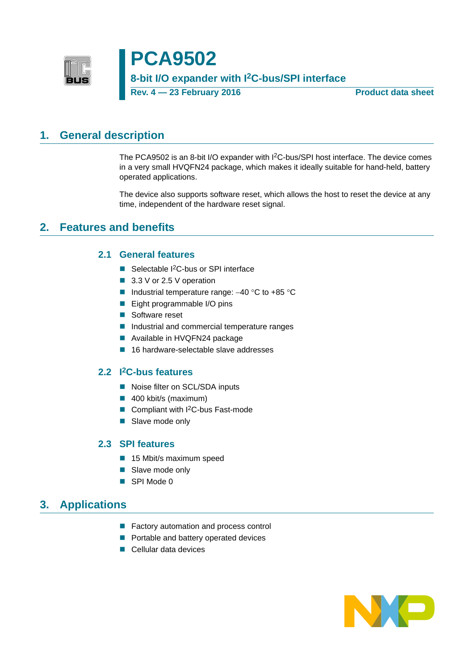

# **PCA9502 8-bit I/O expander with I2C-bus/SPI interface Rev. 4 — 23 February 2016 Product data sheet**

# <span id="page-0-0"></span>**1. General description**

The PCA9502 is an 8-bit I/O expander with I2C-bus/SPI host interface. The device comes in a very small HVQFN24 package, which makes it ideally suitable for hand-held, battery operated applications.

The device also supports software reset, which allows the host to reset the device at any time, independent of the hardware reset signal.

# <span id="page-0-2"></span><span id="page-0-1"></span>**2. Features and benefits**

### **2.1 General features**

- Selectable I<sup>2</sup>C-bus or SPI interface
- 3.3 V or 2.5 V operation
- Industrial temperature range:  $-40$  °C to  $+85$  °C
- Eight programmable I/O pins
- Software reset
- Industrial and commercial temperature ranges
- Available in HVQFN24 package
- 16 hardware-selectable slave addresses

### <span id="page-0-3"></span>**2.2 I2C-bus features**

- Noise filter on SCL/SDA inputs
- 400 kbit/s (maximum)
- Compliant with I<sup>2</sup>C-bus Fast-mode
- Slave mode only

### <span id="page-0-4"></span>**2.3 SPI features**

- 15 Mbit/s maximum speed
- Slave mode only
- SPI Mode 0

## <span id="page-0-5"></span>**3. Applications**

- **Factory automation and process control**
- **Portable and battery operated devices**
- Cellular data devices

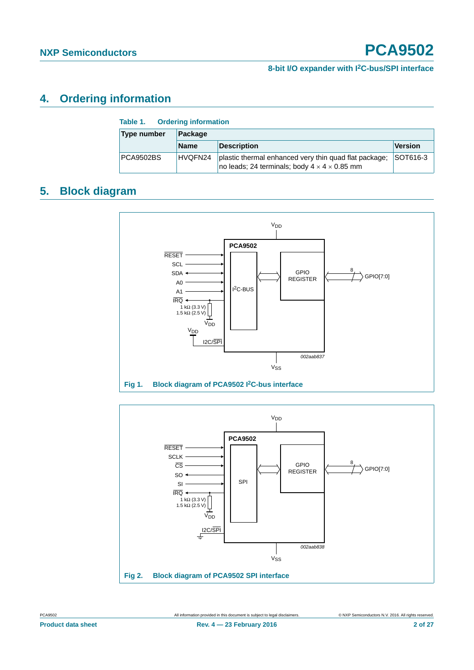# <span id="page-1-0"></span>**4. Ordering information**

| Table 1. Ordering information |             |                                                                                                                   |          |  |
|-------------------------------|-------------|-------------------------------------------------------------------------------------------------------------------|----------|--|
| Type number<br>Package        |             |                                                                                                                   |          |  |
|                               | <b>Name</b> | <b>Description</b>                                                                                                | Version  |  |
| PCA9502BS                     | HVQFN24     | plastic thermal enhanced very thin quad flat package;<br>no leads; 24 terminals; body $4 \times 4 \times 0.85$ mm | SOT616-3 |  |

# <span id="page-1-1"></span>**5. Block diagram**



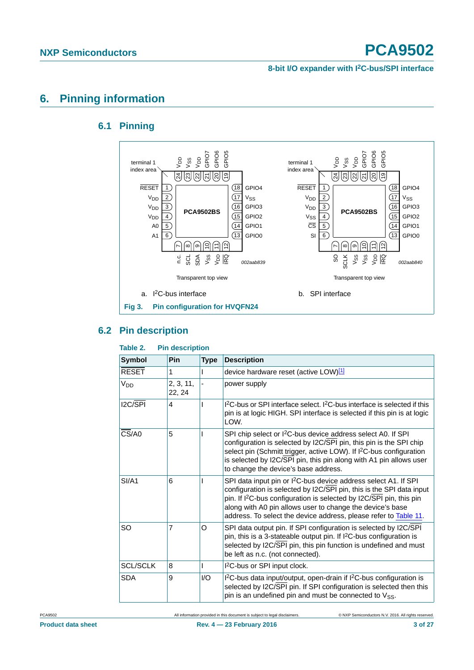#### **8-bit I/O expander with I2C-bus/SPI interface**

# <span id="page-2-1"></span><span id="page-2-0"></span>**6. Pinning information**

### **6.1 Pinning**



### <span id="page-2-2"></span>**6.2 Pin description**

| <b>Symbol</b>   | <b>Pin</b>          | <b>Type</b> | <b>Description</b>                                                                                                                                                                                                                                                                                                                                                      |
|-----------------|---------------------|-------------|-------------------------------------------------------------------------------------------------------------------------------------------------------------------------------------------------------------------------------------------------------------------------------------------------------------------------------------------------------------------------|
| <b>RESET</b>    | 1                   |             | device hardware reset (active LOW)[1]                                                                                                                                                                                                                                                                                                                                   |
| V <sub>DD</sub> | 2, 3, 11,<br>22, 24 |             | power supply                                                                                                                                                                                                                                                                                                                                                            |
| I2C/SPI         | 4                   |             | ${}^{12}C$ -bus or SPI interface select. ${}^{12}C$ -bus interface is selected if this<br>pin is at logic HIGH. SPI interface is selected if this pin is at logic<br>LOW.                                                                                                                                                                                               |
| CS/AO           | 5                   |             | SPI chip select or I <sup>2</sup> C-bus device address select A0. If SPI<br>configuration is selected by I2C/SPI pin, this pin is the SPI chip<br>select pin (Schmitt trigger, active LOW). If I <sup>2</sup> C-bus configuration<br>is selected by I2C/SPI pin, this pin along with A1 pin allows user<br>to change the device's base address.                         |
| SI/A1           | 6                   |             | SPI data input pin or I <sup>2</sup> C-bus device address select A1. If SPI<br>configuration is selected by I2C/SPI pin, this is the SPI data input<br>pin. If I <sup>2</sup> C-bus configuration is selected by I2C/SPI pin, this pin<br>along with A0 pin allows user to change the device's base<br>address. To select the device address, please refer to Table 11. |
| SO              | 7                   | O           | SPI data output pin. If SPI configuration is selected by I2C/SPI<br>pin, this is a 3-stateable output pin. If I <sup>2</sup> C-bus configuration is<br>selected by I2C/SPI pin, this pin function is undefined and must<br>be left as n.c. (not connected).                                                                                                             |
| <b>SCL/SCLK</b> | 8                   |             | I <sup>2</sup> C-bus or SPI input clock.                                                                                                                                                                                                                                                                                                                                |
| <b>SDA</b>      | 9                   | 1/O         | I <sup>2</sup> C-bus data input/output, open-drain if I <sup>2</sup> C-bus configuration is<br>selected by I2C/SPI pin. If SPI configuration is selected then this<br>pin is an undefined pin and must be connected to V <sub>SS</sub> .                                                                                                                                |

#### **Table 2. Pin description**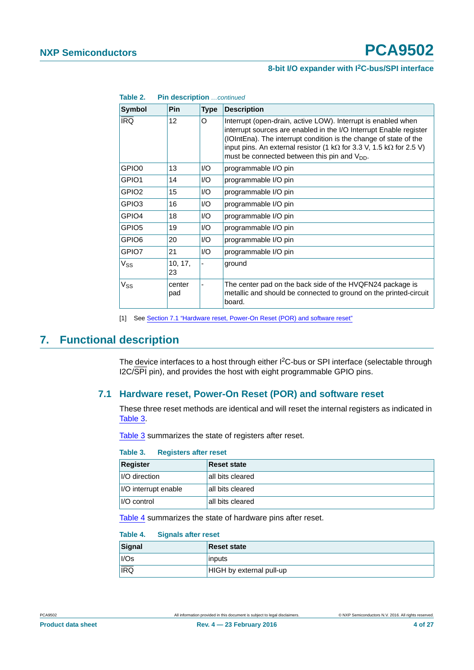#### **8-bit I/O expander with I2C-bus/SPI interface**

| Table 2.<br>Pin description continued |                   |                  |                                                                                                                                                                                                                                                                                                                                                      |  |
|---------------------------------------|-------------------|------------------|------------------------------------------------------------------------------------------------------------------------------------------------------------------------------------------------------------------------------------------------------------------------------------------------------------------------------------------------------|--|
| <b>Symbol</b>                         | <b>Pin</b>        | <b>Type</b>      | <b>Description</b>                                                                                                                                                                                                                                                                                                                                   |  |
| <b>IRQ</b>                            | $12 \overline{ }$ | O                | Interrupt (open-drain, active LOW). Interrupt is enabled when<br>interrupt sources are enabled in the I/O Interrupt Enable register<br>(IOIntEna). The interrupt condition is the change of state of the<br>input pins. An external resistor (1 k $\Omega$ for 3.3 V, 1.5 k $\Omega$ for 2.5 V)<br>must be connected between this pin and $V_{DD}$ . |  |
| GPIO0                                 | 13                | I/O              | programmable I/O pin                                                                                                                                                                                                                                                                                                                                 |  |
| GPIO1                                 | 14                | $\overline{1/O}$ | programmable I/O pin                                                                                                                                                                                                                                                                                                                                 |  |
| GPIO2                                 | 15                | $\overline{1/O}$ | programmable I/O pin                                                                                                                                                                                                                                                                                                                                 |  |
| GPIO3                                 | 16                | $\overline{1/O}$ | programmable I/O pin                                                                                                                                                                                                                                                                                                                                 |  |
| GPIO4                                 | 18                | I/O              | programmable I/O pin                                                                                                                                                                                                                                                                                                                                 |  |
| GPIO5                                 | 19                | $\overline{1/O}$ | programmable I/O pin                                                                                                                                                                                                                                                                                                                                 |  |
| GPIO6                                 | 20                | I/O              | programmable I/O pin                                                                                                                                                                                                                                                                                                                                 |  |
| GPIO7                                 | 21                | I/O              | programmable I/O pin                                                                                                                                                                                                                                                                                                                                 |  |
| $V_{SS}$                              | 10, 17,<br>23     |                  | ground                                                                                                                                                                                                                                                                                                                                               |  |
| Vss                                   | center<br>pad     |                  | The center pad on the back side of the HVQFN24 package is<br>metallic and should be connected to ground on the printed-circuit<br>board.                                                                                                                                                                                                             |  |

<span id="page-3-0"></span>[1] See [Section 7.1 "Hardware reset, Power-On Reset \(POR\) and software reset"](#page-3-1)

## <span id="page-3-4"></span><span id="page-3-1"></span>**7. Functional description**

The device interfaces to a host through either I<sup>2</sup>C-bus or SPI interface (selectable through I2C/SPI pin), and provides the host with eight programmable GPIO pins.

#### **7.1 Hardware reset, Power-On Reset (POR) and software reset**

These three reset methods are identical and will reset the internal registers as indicated in [Table 3](#page-3-2).

[Table 3](#page-3-2) summarizes the state of registers after reset.

#### <span id="page-3-2"></span>**Table 3. Registers after reset**

| Register                    | <b>Reset state</b> |
|-----------------------------|--------------------|
| <i><b>I/O direction</b></i> | all bits cleared   |
| I/O interrupt enable        | all bits cleared   |
| I/O control                 | all bits cleared   |

[Table 4](#page-3-3) summarizes the state of hardware pins after reset.

#### <span id="page-3-3"></span>**Table 4. Signals after reset**

| Signal           | <b>Reset state</b>       |
|------------------|--------------------------|
| I/Os             | inputs                   |
| $\overline{IRQ}$ | HIGH by external pull-up |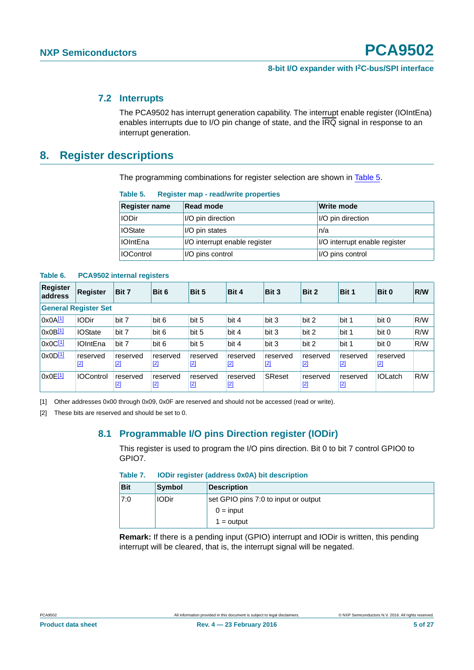#### <span id="page-4-3"></span>**7.2 Interrupts**

The PCA9502 has interrupt generation capability. The interrupt enable register (IOIntEna) enables interrupts due to I/O pin change of state, and the IRQ signal in response to an interrupt generation.

### <span id="page-4-4"></span>**8. Register descriptions**

The programming combinations for register selection are shown in [Table 5.](#page-4-2)

#### <span id="page-4-2"></span>**Table 5. Register map - read/write properties**

| <b>Register name</b> | <b>Read mode</b>              | Write mode                    |
|----------------------|-------------------------------|-------------------------------|
| <b>IODir</b>         | I/O pin direction             | I/O pin direction             |
| <b>IOState</b>       | I/O pin states                | n/a                           |
| <b>IOIntEna</b>      | I/O interrupt enable register | I/O interrupt enable register |
| <b>IOControl</b>     | I/O pins control              | I/O pins control              |

**Table 6. PCA9502 internal registers**

| <b>Register</b><br>address | <b>Register</b>             | Bit 7           | Bit 6             | Bit 5             | Bit 4             | Bit 3             | Bit 2             | Bit 1             | Bit 0             | <b>R/W</b> |
|----------------------------|-----------------------------|-----------------|-------------------|-------------------|-------------------|-------------------|-------------------|-------------------|-------------------|------------|
|                            | <b>General Register Set</b> |                 |                   |                   |                   |                   |                   |                   |                   |            |
| $0x0A^{[1]}$               | <b>IODir</b>                | bit 7           | bit 6             | bit 5             | bit 4             | bit 3             | bit 2             | bit 1             | bit 0             | R/W        |
| $0x0B^{[1]}$               | <b>IOState</b>              | bit 7           | bit 6             | bit 5             | bit 4             | bit 3             | bit 2             | bit 1             | bit 0             | R/W        |
| $0x0C^{[1]}$               | <b>IOIntEna</b>             | bit 7           | bit 6             | bit 5             | bit 4             | bit 3             | bit 2             | bit 1             | bit 0             | R/W        |
| $0x0D^{[1]}$               | reserved<br>$[2]$           | reserved<br>[2] | reserved<br>$[2]$ | reserved<br>$[2]$ | reserved<br>$[2]$ | reserved<br>$[2]$ | reserved<br>$[2]$ | reserved<br>$[2]$ | reserved<br>$[2]$ |            |
| 0x0E[1]                    | <b>IOControl</b>            | reserved<br>[2] | reserved<br>$[2]$ | reserved<br>$[2]$ | reserved<br>$[2]$ | SReset            | reserved<br>$[2]$ | reserved<br>$[2]$ | <b>IOLatch</b>    | R/W        |

<span id="page-4-0"></span>[1] Other addresses 0x00 through 0x09, 0x0F are reserved and should not be accessed (read or write).

<span id="page-4-5"></span><span id="page-4-1"></span>[2] These bits are reserved and should be set to 0.

#### **8.1 Programmable I/O pins Direction register (IODir)**

This register is used to program the I/O pins direction. Bit 0 to bit 7 control GPIO0 to GPIO7.

| Table 7. |  |  | <b>IODir register (address 0x0A) bit description</b> |
|----------|--|--|------------------------------------------------------|
|----------|--|--|------------------------------------------------------|

| <b>Bit</b> | <b>Symbol</b> | <b>Description</b>                   |
|------------|---------------|--------------------------------------|
| 7:0        | ⊦IODir        | set GPIO pins 7:0 to input or output |
|            |               | $0 = input$                          |
|            |               | $1 =$ output                         |

**Remark:** If there is a pending input (GPIO) interrupt and IODir is written, this pending interrupt will be cleared, that is, the interrupt signal will be negated.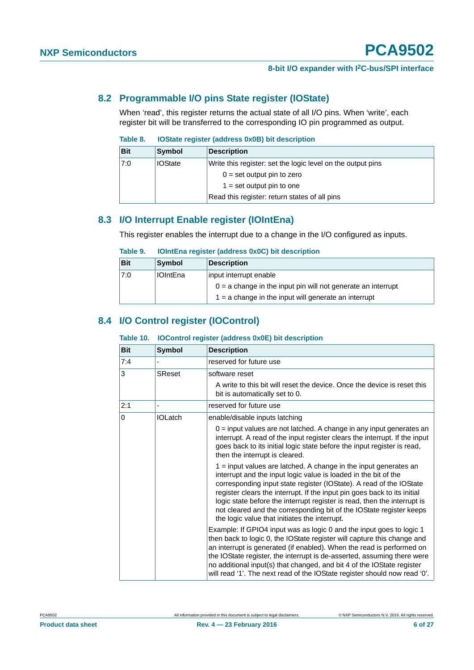#### <span id="page-5-0"></span>**8.2 Programmable I/O pins State register (IOState)**

When 'read', this register returns the actual state of all I/O pins. When 'write', each register bit will be transferred to the corresponding IO pin programmed as output.

#### **Table 8. IOState register (address 0x0B) bit description**

| <b>Bit</b> | <b>Symbol</b>  | <b>Description</b>                                          |
|------------|----------------|-------------------------------------------------------------|
| 7:0        | <b>IOState</b> | Write this register: set the logic level on the output pins |
|            |                | $0 = set$ output pin to zero                                |
|            |                | $1 = set$ output pin to one                                 |
|            |                | Read this register: return states of all pins               |

### <span id="page-5-1"></span>**8.3 I/O Interrupt Enable register (IOIntEna)**

This register enables the interrupt due to a change in the I/O configured as inputs.

#### **Table 9. IOIntEna register (address 0x0C) bit description**

| <b>Bit</b> | <b>Symbol</b>   | Description                                                    |
|------------|-----------------|----------------------------------------------------------------|
| 7:0        | <b>IOIntEna</b> | input interrupt enable                                         |
|            |                 | $0 = a$ change in the input pin will not generate an interrupt |
|            |                 | $1 = a$ change in the input will generate an interrupt         |

### <span id="page-5-2"></span>**8.4 I/O Control register (IOControl)**

#### **Table 10. IOControl register (address 0x0E) bit description**

| <b>Bit</b> | <b>Symbol</b>  | <b>Description</b>                                                                                                                                                                                                                                                                                                                                                                                                                                                                         |
|------------|----------------|--------------------------------------------------------------------------------------------------------------------------------------------------------------------------------------------------------------------------------------------------------------------------------------------------------------------------------------------------------------------------------------------------------------------------------------------------------------------------------------------|
| 7:4        |                | reserved for future use                                                                                                                                                                                                                                                                                                                                                                                                                                                                    |
| 3          | <b>SReset</b>  | software reset                                                                                                                                                                                                                                                                                                                                                                                                                                                                             |
|            |                | A write to this bit will reset the device. Once the device is reset this<br>bit is automatically set to 0.                                                                                                                                                                                                                                                                                                                                                                                 |
| 2:1        |                | reserved for future use                                                                                                                                                                                                                                                                                                                                                                                                                                                                    |
| 0          | <b>IOLatch</b> | enable/disable inputs latching                                                                                                                                                                                                                                                                                                                                                                                                                                                             |
|            |                | $0 =$ input values are not latched. A change in any input generates an<br>interrupt. A read of the input register clears the interrupt. If the input<br>goes back to its initial logic state before the input register is read,<br>then the interrupt is cleared.                                                                                                                                                                                                                          |
|            |                | 1 = input values are latched. A change in the input generates an<br>interrupt and the input logic value is loaded in the bit of the<br>corresponding input state register (IOState). A read of the IOState<br>register clears the interrupt. If the input pin goes back to its initial<br>logic state before the interrupt register is read, then the interrupt is<br>not cleared and the corresponding bit of the IOState register keeps<br>the logic value that initiates the interrupt. |
|            |                | Example: If GPIO4 input was as logic 0 and the input goes to logic 1<br>then back to logic 0, the IOState register will capture this change and<br>an interrupt is generated (if enabled). When the read is performed on<br>the IOState register, the interrupt is de-asserted, assuming there were<br>no additional input(s) that changed, and bit 4 of the IOState register<br>will read '1'. The next read of the IOState register should now read '0'.                                 |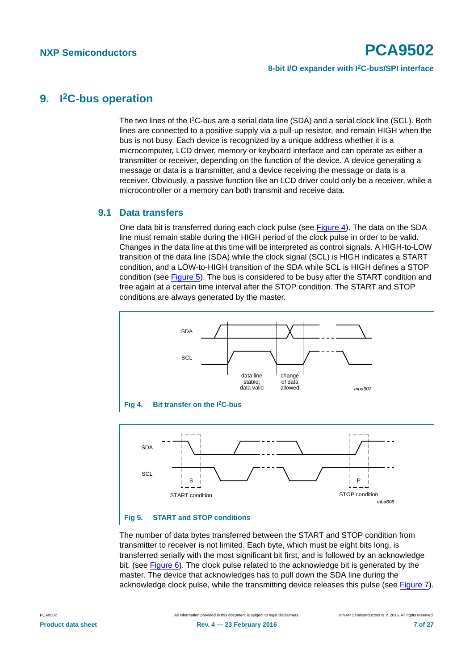## <span id="page-6-2"></span>**9. I2C-bus operation**

The two lines of the I<sup>2</sup>C-bus are a serial data line (SDA) and a serial clock line (SCL). Both lines are connected to a positive supply via a pull-up resistor, and remain HIGH when the bus is not busy. Each device is recognized by a unique address whether it is a microcomputer, LCD driver, memory or keyboard interface and can operate as either a transmitter or receiver, depending on the function of the device. A device generating a message or data is a transmitter, and a device receiving the message or data is a receiver. Obviously, a passive function like an LCD driver could only be a receiver, while a microcontroller or a memory can both transmit and receive data.

#### <span id="page-6-3"></span>**9.1 Data transfers**

One data bit is transferred during each clock pulse (see [Figure 4](#page-6-0)). The data on the SDA line must remain stable during the HIGH period of the clock pulse in order to be valid. Changes in the data line at this time will be interpreted as control signals. A HIGH-to-LOW transition of the data line (SDA) while the clock signal (SCL) is HIGH indicates a START condition, and a LOW-to-HIGH transition of the SDA while SCL is HIGH defines a STOP condition (see [Figure 5\)](#page-6-1). The bus is considered to be busy after the START condition and free again at a certain time interval after the STOP condition. The START and STOP conditions are always generated by the master.

<span id="page-6-0"></span>

<span id="page-6-1"></span>**Fig 5. START and STOP conditions**

The number of data bytes transferred between the START and STOP condition from transmitter to receiver is not limited. Each byte, which must be eight bits long, is transferred serially with the most significant bit first, and is followed by an acknowledge bit. (see [Figure 6](#page-7-0)). The clock pulse related to the acknowledge bit is generated by the master. The device that acknowledges has to pull down the SDA line during the acknowledge clock pulse, while the transmitting device releases this pulse (see [Figure 7\)](#page-7-1).

*mba608*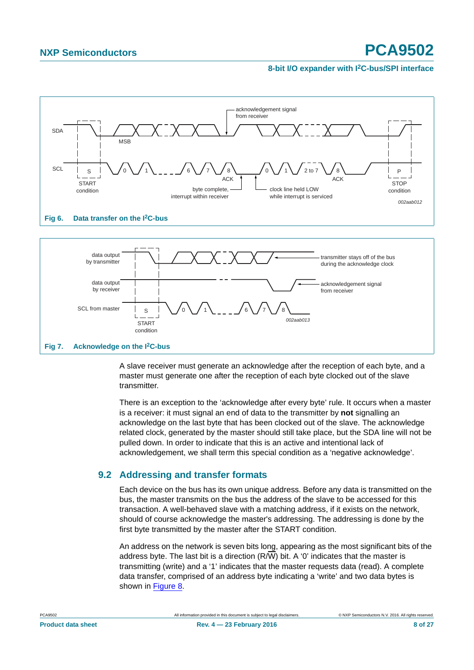

<span id="page-7-0"></span>

<span id="page-7-1"></span>A slave receiver must generate an acknowledge after the reception of each byte, and a master must generate one after the reception of each byte clocked out of the slave transmitter.

There is an exception to the 'acknowledge after every byte' rule. It occurs when a master is a receiver: it must signal an end of data to the transmitter by **not** signalling an acknowledge on the last byte that has been clocked out of the slave. The acknowledge related clock, generated by the master should still take place, but the SDA line will not be pulled down. In order to indicate that this is an active and intentional lack of acknowledgement, we shall term this special condition as a 'negative acknowledge'.

### <span id="page-7-2"></span>**9.2 Addressing and transfer formats**

Each device on the bus has its own unique address. Before any data is transmitted on the bus, the master transmits on the bus the address of the slave to be accessed for this transaction. A well-behaved slave with a matching address, if it exists on the network, should of course acknowledge the master's addressing. The addressing is done by the first byte transmitted by the master after the START condition.

An address on the network is seven bits long, appearing as the most significant bits of the address byte. The last bit is a direction  $(R/\overline{W})$  bit. A '0' indicates that the master is transmitting (write) and a '1' indicates that the master requests data (read). A complete data transfer, comprised of an address byte indicating a 'write' and two data bytes is shown in [Figure 8.](#page-8-0)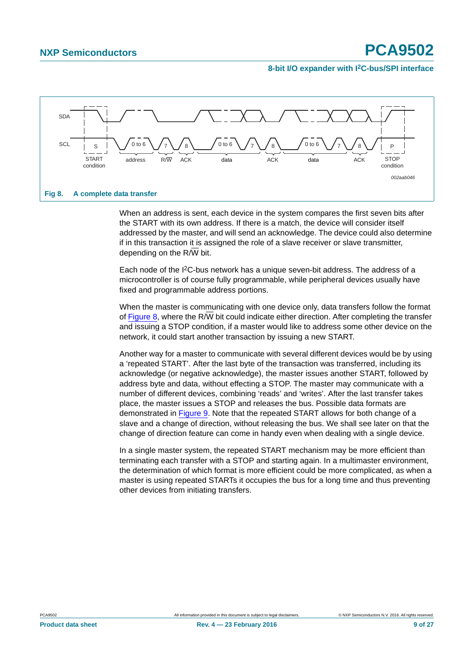

<span id="page-8-0"></span>When an address is sent, each device in the system compares the first seven bits after the START with its own address. If there is a match, the device will consider itself addressed by the master, and will send an acknowledge. The device could also determine if in this transaction it is assigned the role of a slave receiver or slave transmitter, depending on the  $R/\overline{W}$  bit.

Each node of the I2C-bus network has a unique seven-bit address. The address of a microcontroller is of course fully programmable, while peripheral devices usually have fixed and programmable address portions.

When the master is communicating with one device only, data transfers follow the format of [Figure 8,](#page-8-0) where the R/W bit could indicate either direction. After completing the transfer and issuing a STOP condition, if a master would like to address some other device on the network, it could start another transaction by issuing a new START.

Another way for a master to communicate with several different devices would be by using a 'repeated START'. After the last byte of the transaction was transferred, including its acknowledge (or negative acknowledge), the master issues another START, followed by address byte and data, without effecting a STOP. The master may communicate with a number of different devices, combining 'reads' and 'writes'. After the last transfer takes place, the master issues a STOP and releases the bus. Possible data formats are demonstrated in [Figure 9](#page-9-0). Note that the repeated START allows for both change of a slave and a change of direction, without releasing the bus. We shall see later on that the change of direction feature can come in handy even when dealing with a single device.

In a single master system, the repeated START mechanism may be more efficient than terminating each transfer with a STOP and starting again. In a multimaster environment, the determination of which format is more efficient could be more complicated, as when a master is using repeated STARTs it occupies the bus for a long time and thus preventing other devices from initiating transfers.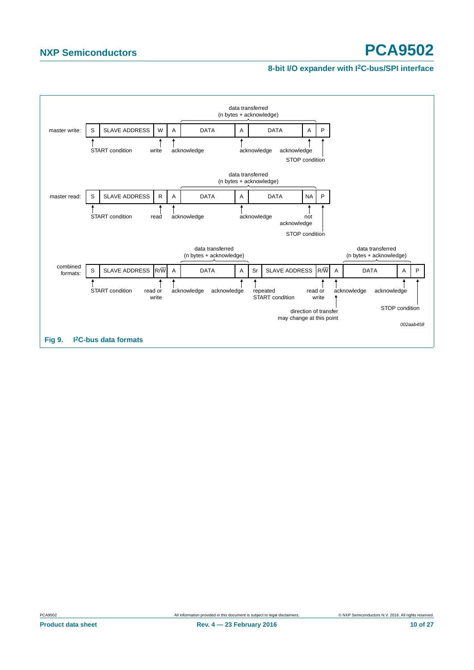#### **8-bit I/O expander with I2C-bus/SPI interface**

<span id="page-9-0"></span>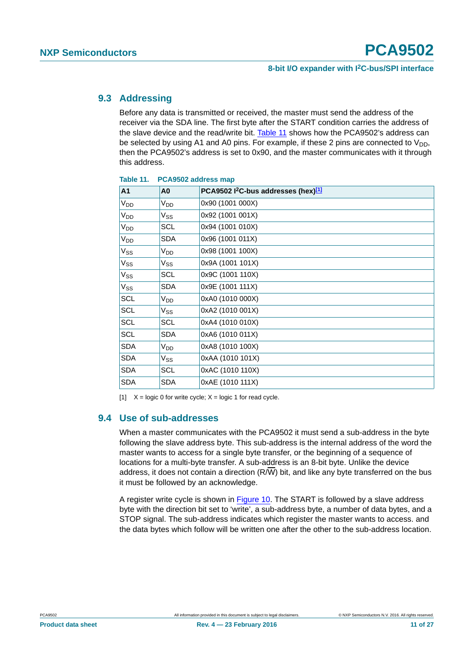#### <span id="page-10-2"></span>**9.3 Addressing**

Before any data is transmitted or received, the master must send the address of the receiver via the SDA line. The first byte after the START condition carries the address of the slave device and the read/write bit. [Table 11](#page-10-0) shows how the PCA9502's address can be selected by using A1 and A0 pins. For example, if these 2 pins are connected to  $V_{DD}$ , then the PCA9502's address is set to 0x90, and the master communicates with it through this address.

| A <sub>1</sub>  | A <sub>0</sub>             | PCA9502 l <sup>2</sup> C-bus addresses (hex)[1] |
|-----------------|----------------------------|-------------------------------------------------|
| V <sub>DD</sub> | V <sub>DD</sub>            | 0x90 (1001 000X)                                |
| V <sub>DD</sub> | $\mathsf{V}_{\mathsf{SS}}$ | 0x92 (1001 001X)                                |
| V <sub>DD</sub> | <b>SCL</b>                 | 0x94 (1001 010X)                                |
| V <sub>DD</sub> | <b>SDA</b>                 | 0x96 (1001 011X)                                |
| $V_{SS}$        | V <sub>DD</sub>            | 0x98 (1001 100X)                                |
| V <sub>SS</sub> | $V_{SS}$                   | 0x9A (1001 101X)                                |
| $V_{SS}$        | <b>SCL</b>                 | 0x9C (1001 110X)                                |
| $V_{SS}$        | SDA                        | 0x9E (1001 111X)                                |
| SCL             | V <sub>DD</sub>            | 0xA0 (1010 000X)                                |
| SCL             | Vss                        | 0xA2 (1010 001X)                                |
| SCL             | <b>SCL</b>                 | 0xA4 (1010 010X)                                |
| SCL             | <b>SDA</b>                 | 0xA6 (1010 011X)                                |
| <b>SDA</b>      | V <sub>DD</sub>            | 0xA8 (1010 100X)                                |
| <b>SDA</b>      | Vss                        | 0xAA (1010 101X)                                |
| <b>SDA</b>      | SCL                        | 0xAC (1010 110X)                                |
| <b>SDA</b>      | SDA                        | 0xAE (1010 111X)                                |

#### <span id="page-10-0"></span>**Table 11. PCA9502 address map**

<span id="page-10-1"></span>[1]  $X = \text{logic 0}$  for write cycle;  $X = \text{logic 1}$  for read cycle.

#### <span id="page-10-3"></span>**9.4 Use of sub-addresses**

When a master communicates with the PCA9502 it must send a sub-address in the byte following the slave address byte. This sub-address is the internal address of the word the master wants to access for a single byte transfer, or the beginning of a sequence of locations for a multi-byte transfer. A sub-address is an 8-bit byte. Unlike the device address, it does not contain a direction (R/W) bit, and like any byte transferred on the bus it must be followed by an acknowledge.

A register write cycle is shown in [Figure 10](#page-11-0). The START is followed by a slave address byte with the direction bit set to 'write', a sub-address byte, a number of data bytes, and a STOP signal. The sub-address indicates which register the master wants to access. and the data bytes which follow will be written one after the other to the sub-address location.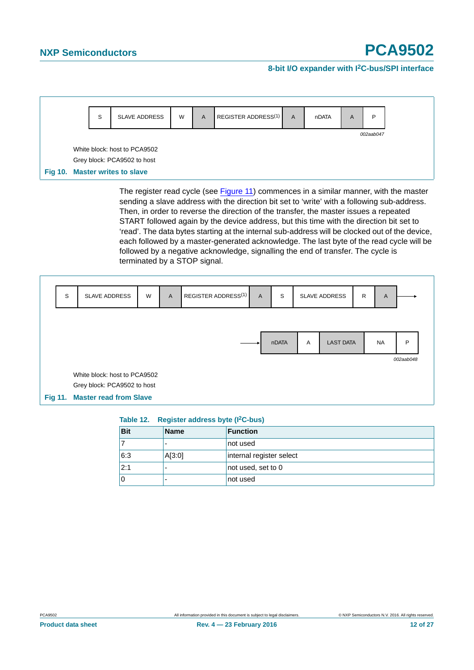#### **8-bit I/O expander with I2C-bus/SPI interface**

<span id="page-11-0"></span>

The register read cycle (see [Figure 11](#page-11-1)) commences in a similar manner, with the master sending a slave address with the direction bit set to 'write' with a following sub-address. Then, in order to reverse the direction of the transfer, the master issues a repeated START followed again by the device address, but this time with the direction bit set to 'read'. The data bytes starting at the internal sub-address will be clocked out of the device, each followed by a master-generated acknowledge. The last byte of the read cycle will be followed by a negative acknowledge, signalling the end of transfer. The cycle is terminated by a STOP signal.



#### <span id="page-11-1"></span>**Table 12. Register address byte (I2C-bus)**

| <b>Bit</b> | <b>Name</b> | <b>Function</b>          |
|------------|-------------|--------------------------|
|            | -           | not used                 |
| 6:3        | A[3:0]      | internal register select |
| 2:1        | ۰           | not used, set to 0       |
|            | ۰           | not used                 |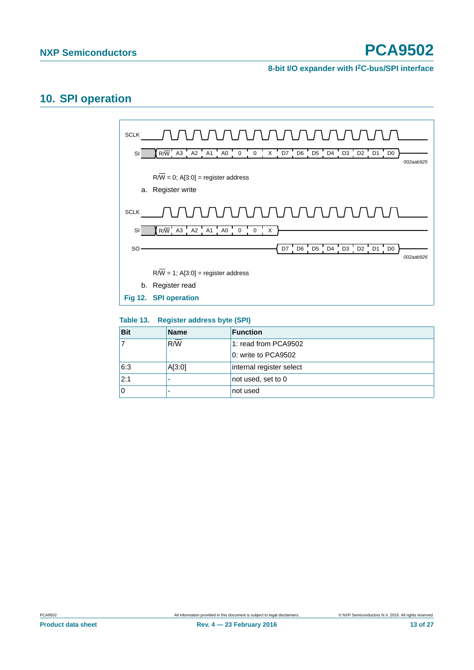#### **8-bit I/O expander with I2C-bus/SPI interface**

# <span id="page-12-0"></span>**10. SPI operation**



#### **Table 13. Register address byte (SPI)**

| <b>Bit</b> | <b>Name</b>  | <b>Function</b>          |
|------------|--------------|--------------------------|
|            | $R/\sqrt{W}$ | 1: read from PCA9502     |
|            |              | 0: write to PCA9502      |
| 6:3        | A[3:0]       | internal register select |
| 2:1        |              | not used, set to 0       |
| ١O         |              | not used                 |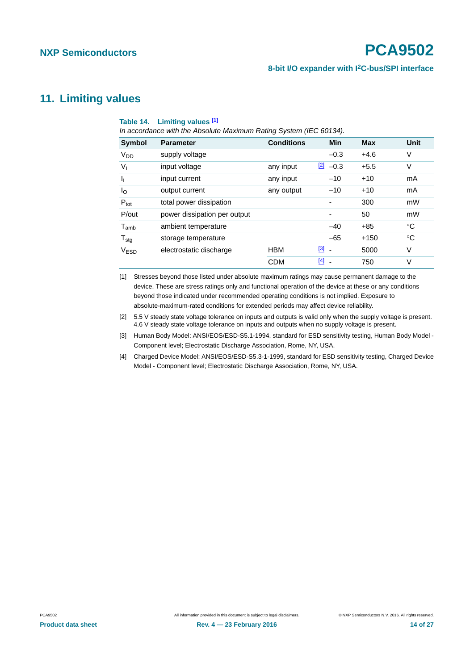#### **8-bit I/O expander with I2C-bus/SPI interface**

## <span id="page-13-5"></span>**11. Limiting values**

<span id="page-13-4"></span>

|                             | Table 14. Limiting values [1]<br>In accordance with the Absolute Maximum Rating System (IEC 60134). |                   |              |                |            |             |
|-----------------------------|-----------------------------------------------------------------------------------------------------|-------------------|--------------|----------------|------------|-------------|
| <b>Symbol</b>               | <b>Parameter</b>                                                                                    | <b>Conditions</b> |              | Min            | <b>Max</b> | Unit        |
| <b>V<sub>DD</sub></b>       | supply voltage                                                                                      |                   |              | $-0.3$         | $+4.6$     | V           |
| $V_{1}$                     | input voltage                                                                                       | any input         | $\mathbf{Z}$ | $-0.3$         | $+5.5$     | V           |
| J <sub>I</sub>              | input current                                                                                       | any input         |              | $-10$          | $+10$      | mA          |
| l <sub>O</sub>              | output current                                                                                      | any output        |              | $-10$          | $+10$      | mA          |
| $P_{\text{tot}}$            | total power dissipation                                                                             |                   |              |                | 300        | mW          |
| P/out                       | power dissipation per output                                                                        |                   |              |                | 50         | mW          |
| $\mathsf{T}_{\mathsf{amb}}$ | ambient temperature                                                                                 |                   |              | $-40$          | $+85$      | °C          |
| $T_{\text{stg}}$            | storage temperature                                                                                 |                   |              | $-65$          | $+150$     | $^{\circ}C$ |
| V <sub>ESD</sub>            | electrostatic discharge                                                                             | <b>HBM</b>        | $\boxed{3}$  | $\blacksquare$ | 5000       | V           |
|                             |                                                                                                     | <b>CDM</b>        | [4]          |                | 750        | V           |

<span id="page-13-0"></span>[1] Stresses beyond those listed under absolute maximum ratings may cause permanent damage to the device. These are stress ratings only and functional operation of the device at these or any conditions beyond those indicated under recommended operating conditions is not implied. Exposure to absolute-maximum-rated conditions for extended periods may affect device reliability.

<span id="page-13-1"></span>[2] 5.5 V steady state voltage tolerance on inputs and outputs is valid only when the supply voltage is present. 4.6 V steady state voltage tolerance on inputs and outputs when no supply voltage is present.

<span id="page-13-2"></span>[3] Human Body Model: ANSI/EOS/ESD-S5.1-1994, standard for ESD sensitivity testing, Human Body Model - Component level; Electrostatic Discharge Association, Rome, NY, USA.

<span id="page-13-3"></span>[4] Charged Device Model: ANSI/EOS/ESD-S5.3-1-1999, standard for ESD sensitivity testing, Charged Device Model - Component level; Electrostatic Discharge Association, Rome, NY, USA.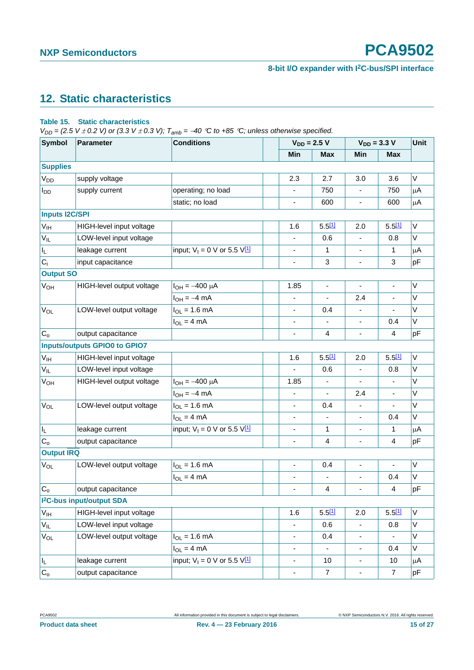# <span id="page-14-1"></span>**12. Static characteristics**

#### <span id="page-14-0"></span>**Table 15. Static characteristics**

*V<sub>DD</sub>* = (2.5 *V*  $\pm$  0.2 *V*) or (3.3 *V*  $\pm$  0.3 *V);*  $T_{amb}$  = -40 °C to +85 °C; unless otherwise specified.

| <b>Symbol</b>           | <b>Conditions</b><br><b>Parameter</b> |                                      |                              | $V_{DD} = 2.5 V$             | $V_{DD} = 3.3 V$             | <b>Unit</b>    |         |
|-------------------------|---------------------------------------|--------------------------------------|------------------------------|------------------------------|------------------------------|----------------|---------|
|                         |                                       |                                      | Min                          | <b>Max</b>                   | Min                          | <b>Max</b>     |         |
| <b>Supplies</b>         |                                       |                                      |                              |                              |                              |                |         |
| V <sub>DD</sub>         | supply voltage                        |                                      | 2.3                          | 2.7                          | 3.0                          | 3.6            | V       |
| <b>I</b> <sub>DD</sub>  | supply current                        | operating; no load                   | ٠                            | 750                          | $\overline{\phantom{a}}$     | 750            | $\mu$ A |
|                         |                                       | static; no load                      | $\qquad \qquad \blacksquare$ | 600                          | $\frac{1}{2}$                | 600            | $\mu$ A |
| <b>Inputs I2C/SPI</b>   |                                       |                                      |                              |                              |                              |                |         |
| V <sub>IH</sub>         | HIGH-level input voltage              |                                      | 1.6                          | 5.511                        | 2.0                          | 5.511          | V       |
| $V_{IL}$                | LOW-level input voltage               |                                      |                              | 0.6                          |                              | 0.8            | V       |
| $\mathsf{l}_\mathsf{L}$ | leakage current                       | input; $V_1 = 0$ V or 5.5 $V_1^{11}$ |                              | $\mathbf{1}$                 | $\qquad \qquad \blacksquare$ | 1              | μA      |
| $C_i$                   | input capacitance                     |                                      | $\blacksquare$               | 3                            | $\blacksquare$               | 3              | pF      |
| <b>Output SO</b>        |                                       |                                      |                              |                              |                              |                |         |
| V <sub>OH</sub>         | HIGH-level output voltage             | $I_{OH} = -400 \mu A$                | 1.85                         | $\qquad \qquad \blacksquare$ | $\blacksquare$               | ä,             | V       |
|                         |                                       | $I_{OH} = -4$ mA                     |                              | $\blacksquare$               | 2.4                          | ä,             | $\vee$  |
| $V_{OL}$                | LOW-level output voltage              | $I_{OL} = 1.6$ mA                    | $\qquad \qquad \blacksquare$ | 0.4                          | $\frac{1}{2}$                | $\blacksquare$ | V       |
|                         |                                       | $I_{OL} = 4 mA$                      | $\overline{\phantom{a}}$     | ä,                           | $\blacksquare$               | 0.4            | V       |
| C <sub>o</sub>          | output capacitance                    |                                      | $\blacksquare$               | 4                            | $\frac{1}{2}$                | 4              | pF      |
|                         | <b>Inputs/outputs GPIO0 to GPIO7</b>  |                                      |                              |                              |                              |                |         |
| V <sub>IH</sub>         | HIGH-level input voltage              |                                      | 1.6                          | 5.511                        | 2.0                          | 5.511          | V       |
| $V_{IL}$                | LOW-level input voltage               |                                      |                              | 0.6                          | $\blacksquare$               | 0.8            | V       |
| <b>V<sub>OH</sub></b>   | HIGH-level output voltage             | $I_{OH} = -400 \mu A$                | 1.85                         | $\frac{1}{2}$                | $\overline{\phantom{a}}$     | $\blacksquare$ | V       |
|                         |                                       | $I_{OH} = -4$ mA                     |                              | $\blacksquare$               | 2.4                          | ÷,             | V       |
| $V_{OL}$                | LOW-level output voltage              | $I_{OL} = 1.6$ mA                    | -                            | 0.4                          | $\qquad \qquad \blacksquare$ | $\blacksquare$ | V       |
|                         |                                       | $I_{OL} = 4 mA$                      | $\frac{1}{2}$                | ä,                           | $\blacksquare$               | 0.4            | V       |
| I <sub>L</sub>          | leakage current                       | input; $V_1 = 0$ V or 5.5 $V_1^{11}$ | $\frac{1}{2}$                | 1                            | $\frac{1}{2}$                | 1              | $\mu$ A |
| C <sub>o</sub>          | output capacitance                    |                                      | $\qquad \qquad \blacksquare$ | 4                            | $\overline{\phantom{a}}$     | 4              | pF      |
| <b>Output IRQ</b>       |                                       |                                      |                              |                              |                              |                |         |
| $V_{OL}$                | LOW-level output voltage              | $I_{OL} = 1.6$ mA                    | $\frac{1}{2}$                | 0.4                          | $\blacksquare$               | ÷,             | V       |
|                         |                                       | $I_{OL} = 4 mA$                      | $\frac{1}{2}$                | $\blacksquare$               | $\overline{\phantom{a}}$     | 0.4            | V       |
| $C_{o}$                 | output capacitance                    |                                      |                              | 4                            | ä,                           | 4              | pF      |
|                         | I <sup>2</sup> C-bus input/output SDA |                                      |                              |                              |                              |                |         |
| $V_{\text{IH}}$         | HIGH-level input voltage              |                                      | 1.6                          | 5.511                        | 2.0                          | 5.511          | V       |
| $V_{IL}$                | LOW-level input voltage               |                                      | $\qquad \qquad \blacksquare$ | 0.6                          | $\blacksquare$               | 0.8            | V       |
| $V_{OL}$                | LOW-level output voltage              | $I_{OL} = 1.6$ mA                    | $\qquad \qquad \blacksquare$ | 0.4                          | $\blacksquare$               |                | V       |
|                         |                                       | $I_{OL} = 4 mA$                      | $\overline{\phantom{0}}$     | $\qquad \qquad \blacksquare$ | $\overline{\phantom{a}}$     | 0.4            | V       |
| $\mathsf{I}_\mathsf{L}$ | leakage current                       | input; $V_1 = 0$ V or 5.5 V[1]       | $\overline{\phantom{0}}$     | 10                           | $\overline{\phantom{a}}$     | 10             | $\mu$ A |
| $\mathrm{C}_\mathrm{o}$ | output capacitance                    |                                      | $\qquad \qquad \blacksquare$ | $\overline{7}$               | $\overline{\phantom{a}}$     | $\overline{7}$ | pF      |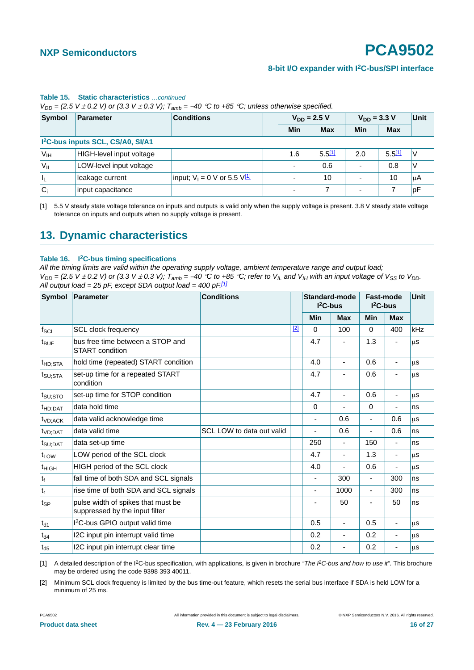|                 | $V_{DD}$ = (2.5 V $\pm$ 0.2 V) or (3.3 V $\pm$ 0.3 V); $I_{amb}$ = –40 °C to +85 °C; unless otherwise specified. |                                      |  |            |                  |                          |                  |    |  |  |
|-----------------|------------------------------------------------------------------------------------------------------------------|--------------------------------------|--|------------|------------------|--------------------------|------------------|----|--|--|
| <b>Symbol</b>   | Parameter                                                                                                        | <b>Conditions</b>                    |  |            | $V_{DD} = 2.5 V$ |                          | $V_{DD} = 3.3 V$ |    |  |  |
|                 |                                                                                                                  |                                      |  | <b>Min</b> | <b>Max</b>       | Min                      | <b>Max</b>       |    |  |  |
|                 | I <sup>2</sup> C-bus inputs SCL, CS/A0, SI/A1                                                                    |                                      |  |            |                  |                          |                  |    |  |  |
| V <sub>IH</sub> | HIGH-level input voltage                                                                                         |                                      |  | 1.6        | 5.511            | 2.0                      | 5.5[1]           |    |  |  |
| $V_{IL}$        | LOW-level input voltage                                                                                          |                                      |  |            | 0.6              |                          | 0.8              |    |  |  |
| ΙĿ              | leakage current                                                                                                  | input; $V_1 = 0$ V or 5.5 $V_1^{11}$ |  |            | 10               | $\overline{\phantom{0}}$ | 10               | μA |  |  |
| $C_i$           | input capacitance                                                                                                |                                      |  |            |                  | $\overline{\phantom{0}}$ |                  | pF |  |  |

#### **Table 15. Static characteristics** *…continued*

*V*<sub>DD</sub> = (2.5 *V*  $\pm$  0.2 *V*) or (3.3 *V*  $\pm$  0.3 *V*);  $T_{amb}$  = -40 °C to +85 °C; unless otherwise specified.

<span id="page-15-0"></span>[1] 5.5 V steady state voltage tolerance on inputs and outputs is valid only when the supply voltage is present. 3.8 V steady state voltage tolerance on inputs and outputs when no supply voltage is present.

### <span id="page-15-3"></span>**13. Dynamic characteristics**

#### **Table 16. I2C-bus timing specifications**

*All the timing limits are valid within the operating supply voltage, ambient temperature range and output load;*   $V_{DD}$  = (2.5 V  $\pm$  0.2 V) or (3.3 V  $\pm$  0.3 V);  $T_{amb}$  = -40 °C to +85 °C; refer to  $V_{IL}$  and  $V_{IH}$  with an input voltage of  $V_{SS}$  to  $V_{DD}$ . *All output load = 25 pF, except SDA output load = 400 pF[.\[1\]](#page-15-1)*

| Symbol                      | <b>Parameter</b>                                                     | <b>Conditions</b>         |       |                          | Standard-mode<br>$I2C-bus$ |                | <b>Fast-mode</b><br>$I2C-bus$ |           |
|-----------------------------|----------------------------------------------------------------------|---------------------------|-------|--------------------------|----------------------------|----------------|-------------------------------|-----------|
|                             |                                                                      |                           |       | Min                      | <b>Max</b>                 | Min            | <b>Max</b>                    |           |
| $f_{\text{SCL}}$            | <b>SCL clock frequency</b>                                           |                           | $[2]$ | $\Omega$                 | 100                        | $\Omega$       | 400                           | kHz       |
| $t_{\text{BUF}}$            | bus free time between a STOP and<br><b>START</b> condition           |                           |       | 4.7                      |                            | 1.3            |                               | <b>us</b> |
| <sup>t</sup> HD:STA         | hold time (repeated) START condition                                 |                           |       | 4.0                      | $\blacksquare$             | 0.6            |                               | μS        |
| t <sub>SU;STA</sub>         | set-up time for a repeated START<br>condition                        |                           |       | 4.7                      |                            | 0.6            |                               | μS        |
| t <sub>SU;STO</sub>         | set-up time for STOP condition                                       |                           |       | 4.7                      |                            | 0.6            | $\overline{\phantom{0}}$      | μS        |
| $t_{HD;DAT}$                | data hold time                                                       |                           |       | $\mathbf 0$              |                            | $\Omega$       | ٠                             | ns        |
| $t_{VD;ACK}$                | data valid acknowledge time                                          |                           |       | $\overline{\phantom{a}}$ | 0.6                        | ٠              | 0.6                           | <b>us</b> |
| t <sub>VD;DAT</sub>         | data valid time                                                      | SCL LOW to data out valid |       |                          | 0.6                        |                | 0.6                           | ns        |
| t <sub>SU:DAT</sub>         | data set-up time                                                     |                           |       | 250                      |                            | 150            | ٠                             | ns        |
| t <sub>LOW</sub>            | LOW period of the SCL clock                                          |                           |       | 4.7                      | ٠                          | 1.3            | $\overline{\phantom{a}}$      | μS        |
| $t_{HIGH}$                  | HIGH period of the SCL clock                                         |                           |       | 4.0                      |                            | 0.6            | ٠                             | <b>us</b> |
| $t_f$                       | fall time of both SDA and SCL signals                                |                           |       | $\overline{\phantom{a}}$ | 300                        | $\blacksquare$ | 300                           | ns        |
| $\mathfrak{t}_{\mathsf{r}}$ | rise time of both SDA and SCL signals                                |                           |       | $\overline{\phantom{a}}$ | 1000                       | -              | 300                           | ns        |
| $t_{SP}$                    | pulse width of spikes that must be<br>suppressed by the input filter |                           |       |                          | 50                         |                | 50                            | ns        |
| $t_{d1}$                    | I <sup>2</sup> C-bus GPIO output valid time                          |                           |       | 0.5                      | ٠                          | 0.5            | $\blacksquare$                | <b>us</b> |
| $t_{d4}$                    | I2C input pin interrupt valid time                                   |                           |       | 0.2                      |                            | 0.2            | $\overline{\phantom{0}}$      | μS        |
| $t_{d5}$                    | I2C input pin interrupt clear time                                   |                           |       | 0.2                      |                            | 0.2            |                               | μS        |

<span id="page-15-1"></span>[1] A detailed description of the I2C-bus specification, with applications, is given in brochure *"The I2C-bus and how to use it"*. This brochure may be ordered using the code 9398 393 40011.

<span id="page-15-2"></span>[2] Minimum SCL clock frequency is limited by the bus time-out feature, which resets the serial bus interface if SDA is held LOW for a minimum of 25 ms.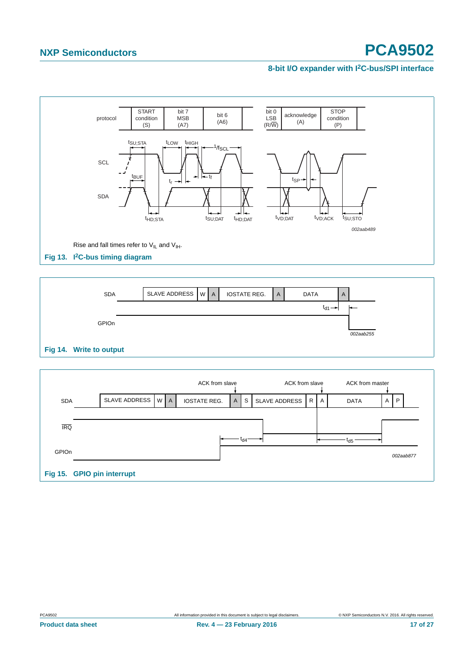#### **8-bit I/O expander with I2C-bus/SPI interface**





|            |                            | ACK from slave      |   |     | ACK from slave       |    | ACK from master |   |           |
|------------|----------------------------|---------------------|---|-----|----------------------|----|-----------------|---|-----------|
| SDA        | SLAVE ADDRESS   W   A      | <b>IOSTATE REG.</b> | A | S   | <b>SLAVE ADDRESS</b> | RA | <b>DATA</b>     | A | P         |
|            |                            |                     |   |     |                      |    |                 |   |           |
| <b>IRQ</b> |                            |                     |   |     |                      |    |                 |   |           |
|            |                            |                     |   | td4 |                      |    | t <sub>d5</sub> |   |           |
| GPIOn      |                            |                     |   |     |                      |    |                 |   | 002aab877 |
|            | Fig 15. GPIO pin interrupt |                     |   |     |                      |    |                 |   |           |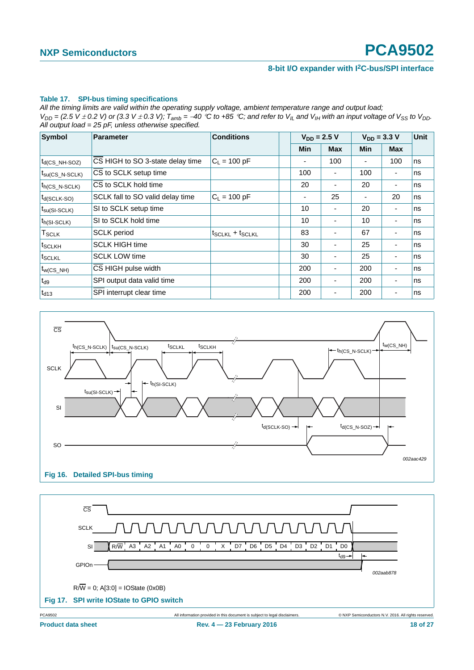#### **Table 17. SPI-bus timing specifications**

*All the timing limits are valid within the operating supply voltage, ambient temperature range and output load;*   $V_{DD}$  = (2.5 V  $\pm$  0.2 V) or (3.3 V  $\pm$  0.3 V);  $T_{amb}$  = -40 °C to +85 °C; and refer to V<sub>IL</sub> and V<sub>IH</sub> with an input voltage of V<sub>SS</sub> to V<sub>DD</sub>. *All output load = 25 pF, unless otherwise specified.*

| Symbol                            | <b>Parameter</b>                 | <b>Conditions</b>       |                          | $V_{DD} = 2.5 V$         | $V_{DD} = 3.3 V$ | <b>Unit</b>              |    |
|-----------------------------------|----------------------------------|-------------------------|--------------------------|--------------------------|------------------|--------------------------|----|
|                                   |                                  |                         | Min                      | <b>Max</b>               | Min              | <b>Max</b>               |    |
| $t_{d(CS_NH-SOZ)}$                | CS HIGH to SO 3-state delay time | $C_1 = 100 pF$          | ۰                        | 100                      |                  | 100                      | ns |
| $t_{\text{SU}(\text{CS N-SCLK})}$ | CS to SCLK setup time            |                         | 100                      | $\overline{\phantom{0}}$ | 100              | ٠                        | ns |
| $t_{h(CS\ N-SCLK)}$               | CS to SCLK hold time             |                         | 20                       |                          | 20               | $\overline{\phantom{0}}$ | ns |
| $t_{d(SCLK-SO)}$                  | SCLK fall to SO valid delay time | $C_1 = 100 pF$          | $\overline{\phantom{a}}$ | 25                       |                  | 20                       | ns |
| $t_{\text{su(SI-SCLK)}}$          | SI to SCLK setup time            |                         | 10                       | $\overline{\phantom{0}}$ | 20               | ٠                        | ns |
| $t_{h(SI-SCLK)}$                  | SI to SCLK hold time             |                         | 10                       | $\blacksquare$           | 10               | ۰                        | ns |
| $\mathsf{T}_{\mathsf{SCLK}}$      | <b>SCLK</b> period               | $t_{SCLKL} + t_{SCLKL}$ | 83                       |                          | 67               |                          | ns |
| t <sub>SCLKH</sub>                | <b>SCLK HIGH time</b>            |                         | 30                       |                          | 25               | ٠                        | ns |
| <b>ISCLKL</b>                     | <b>SCLK LOW time</b>             |                         | 30                       | $\overline{\phantom{0}}$ | 25               | ٠                        | ns |
| $t_{W(CS_NH)}$                    | CS HIGH pulse width              |                         | 200                      | $\blacksquare$           | 200              | ٠                        | ns |
| $t_{d9}$                          | SPI output data valid time       |                         | 200                      |                          | 200              |                          | ns |
| $t_{d13}$                         | SPI interrupt clear time         |                         | 200                      | ۰                        | 200              | ٠                        | ns |



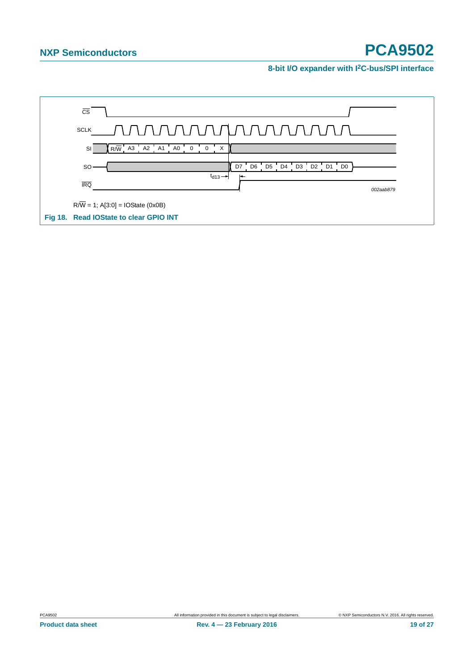**8-bit I/O expander with I2C-bus/SPI interface**

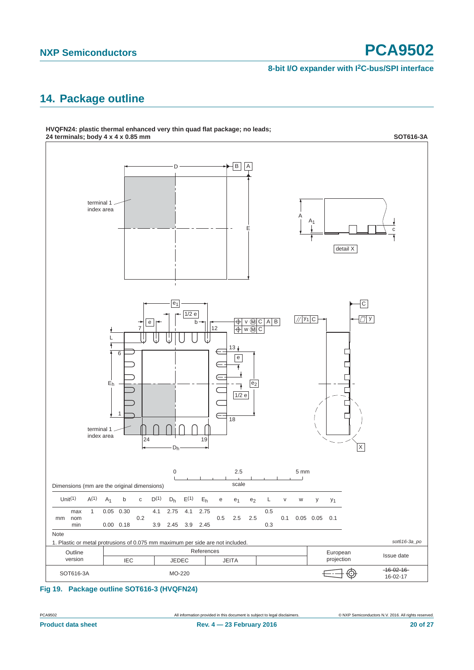#### **8-bit I/O expander with I2C-bus/SPI interface**

# <span id="page-19-0"></span>**14. Package outline**



# **HVQFN24: plastic thermal enhanced very thin quad flat package; no leads;**

**Fig 19. Package outline SOT616-3 (HVQFN24)**

PCA9502 All information provided in this document is subject to legal disclaimers. © NXP Semiconductors N.V. 2016. All rights reserved.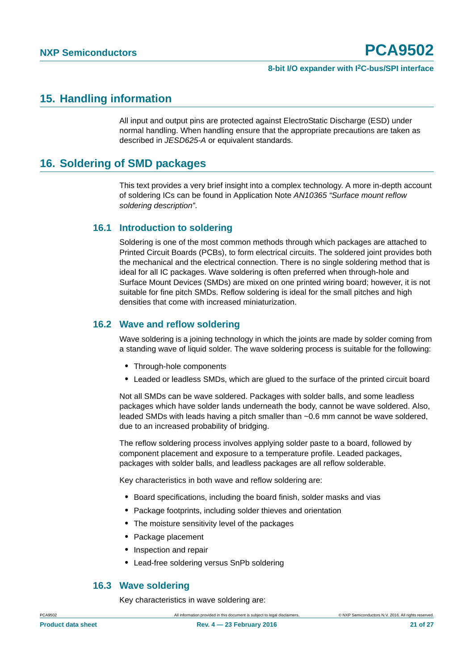### <span id="page-20-0"></span>**15. Handling information**

All input and output pins are protected against ElectroStatic Discharge (ESD) under normal handling. When handling ensure that the appropriate precautions are taken as described in *JESD625-A* or equivalent standards.

## <span id="page-20-1"></span>**16. Soldering of SMD packages**

This text provides a very brief insight into a complex technology. A more in-depth account of soldering ICs can be found in Application Note *AN10365 "Surface mount reflow soldering description"*.

#### <span id="page-20-2"></span>**16.1 Introduction to soldering**

Soldering is one of the most common methods through which packages are attached to Printed Circuit Boards (PCBs), to form electrical circuits. The soldered joint provides both the mechanical and the electrical connection. There is no single soldering method that is ideal for all IC packages. Wave soldering is often preferred when through-hole and Surface Mount Devices (SMDs) are mixed on one printed wiring board; however, it is not suitable for fine pitch SMDs. Reflow soldering is ideal for the small pitches and high densities that come with increased miniaturization.

#### <span id="page-20-3"></span>**16.2 Wave and reflow soldering**

Wave soldering is a joining technology in which the joints are made by solder coming from a standing wave of liquid solder. The wave soldering process is suitable for the following:

- **•** Through-hole components
- **•** Leaded or leadless SMDs, which are glued to the surface of the printed circuit board

Not all SMDs can be wave soldered. Packages with solder balls, and some leadless packages which have solder lands underneath the body, cannot be wave soldered. Also, leaded SMDs with leads having a pitch smaller than ~0.6 mm cannot be wave soldered, due to an increased probability of bridging.

The reflow soldering process involves applying solder paste to a board, followed by component placement and exposure to a temperature profile. Leaded packages, packages with solder balls, and leadless packages are all reflow solderable.

Key characteristics in both wave and reflow soldering are:

- **•** Board specifications, including the board finish, solder masks and vias
- **•** Package footprints, including solder thieves and orientation
- **•** The moisture sensitivity level of the packages
- **•** Package placement
- **•** Inspection and repair
- **•** Lead-free soldering versus SnPb soldering

#### <span id="page-20-4"></span>**16.3 Wave soldering**

Key characteristics in wave soldering are: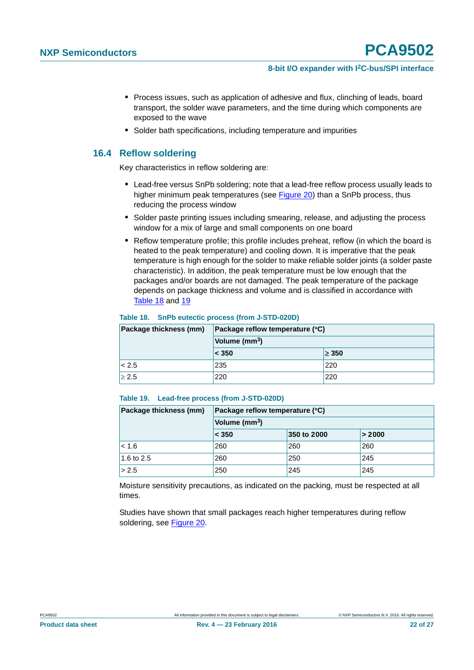- **•** Process issues, such as application of adhesive and flux, clinching of leads, board transport, the solder wave parameters, and the time during which components are exposed to the wave
- **•** Solder bath specifications, including temperature and impurities

#### <span id="page-21-2"></span>**16.4 Reflow soldering**

Key characteristics in reflow soldering are:

- **•** Lead-free versus SnPb soldering; note that a lead-free reflow process usually leads to higher minimum peak temperatures (see [Figure 20\)](#page-22-0) than a SnPb process, thus reducing the process window
- **•** Solder paste printing issues including smearing, release, and adjusting the process window for a mix of large and small components on one board
- **•** Reflow temperature profile; this profile includes preheat, reflow (in which the board is heated to the peak temperature) and cooling down. It is imperative that the peak temperature is high enough for the solder to make reliable solder joints (a solder paste characteristic). In addition, the peak temperature must be low enough that the packages and/or boards are not damaged. The peak temperature of the package depends on package thickness and volume and is classified in accordance with [Table 18](#page-21-0) and [19](#page-21-1)

#### <span id="page-21-0"></span>**Table 18. SnPb eutectic process (from J-STD-020D)**

| Package thickness (mm) | Package reflow temperature (°C) |            |  |  |  |  |
|------------------------|---------------------------------|------------|--|--|--|--|
|                        | Volume (mm <sup>3</sup> )       |            |  |  |  |  |
|                        | < 350                           | $\geq 350$ |  |  |  |  |
| < 2.5                  | 235                             | 220        |  |  |  |  |
| $\geq 2.5$             | 220                             | 220        |  |  |  |  |

#### <span id="page-21-1"></span>**Table 19. Lead-free process (from J-STD-020D)**

| Package thickness (mm) | Package reflow temperature (°C) |             |        |  |  |  |  |
|------------------------|---------------------------------|-------------|--------|--|--|--|--|
|                        | Volume (mm <sup>3</sup> )       |             |        |  |  |  |  |
|                        | < 350                           | 350 to 2000 | > 2000 |  |  |  |  |
| $ $ < 1.6              | 260                             | 260         | 260    |  |  |  |  |
| 1.6 to 2.5             | 260                             | 250         | 245    |  |  |  |  |
| > 2.5                  | 250                             | 245         | 245    |  |  |  |  |

Moisture sensitivity precautions, as indicated on the packing, must be respected at all times.

Studies have shown that small packages reach higher temperatures during reflow soldering, see [Figure 20](#page-22-0).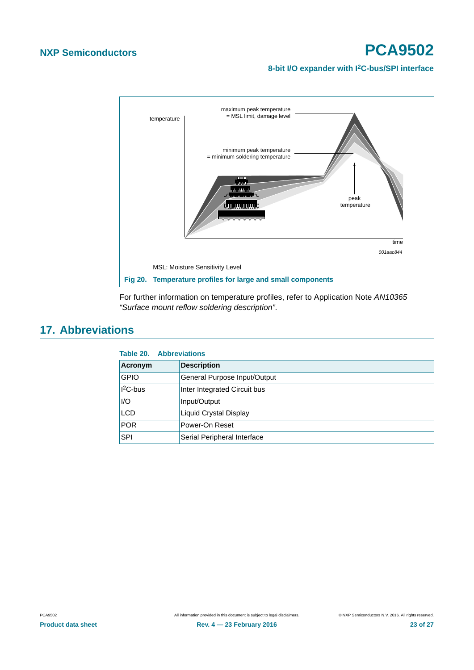#### **8-bit I/O expander with I2C-bus/SPI interface**



<span id="page-22-0"></span>For further information on temperature profiles, refer to Application Note *AN10365 "Surface mount reflow soldering description"*.

# <span id="page-22-1"></span>**17. Abbreviations**

| Acronym      | <b>Description</b>           |
|--------------|------------------------------|
| <b>GPIO</b>  | General Purpose Input/Output |
| $ I^2C$ -bus | Inter Integrated Circuit bus |
| I/O          | Input/Output                 |
| <b>LCD</b>   | Liquid Crystal Display       |
| POR          | Power-On Reset               |
| <b>SPI</b>   | Serial Peripheral Interface  |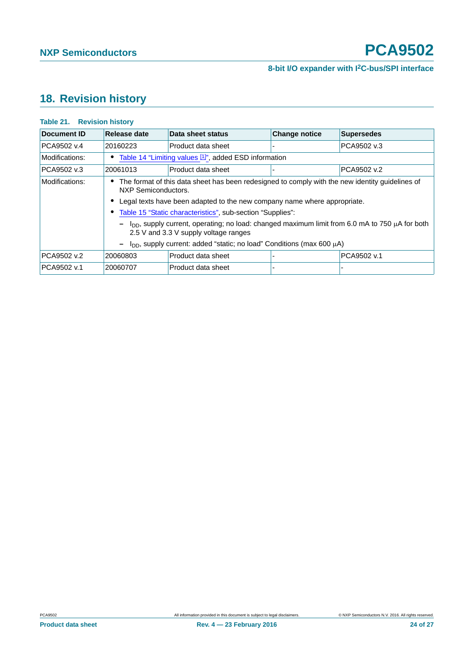# <span id="page-23-0"></span>**18. Revision history**

| Document ID    | Release date                                                                                                                                                                                                                                                                                                                                                                                                                                                                                                                                      | Data sheet status  | <b>Change notice</b> | <b>Supersedes</b> |  |  |
|----------------|---------------------------------------------------------------------------------------------------------------------------------------------------------------------------------------------------------------------------------------------------------------------------------------------------------------------------------------------------------------------------------------------------------------------------------------------------------------------------------------------------------------------------------------------------|--------------------|----------------------|-------------------|--|--|
| PCA9502 v.4    | 20160223                                                                                                                                                                                                                                                                                                                                                                                                                                                                                                                                          | Product data sheet |                      | PCA9502 v.3       |  |  |
| Modifications: | • Table 14 "Limiting values [1]", added ESD information                                                                                                                                                                                                                                                                                                                                                                                                                                                                                           |                    |                      |                   |  |  |
| PCA9502 v.3    | 20061013                                                                                                                                                                                                                                                                                                                                                                                                                                                                                                                                          | Product data sheet |                      | PCA9502 v.2       |  |  |
| Modifications: | • The format of this data sheet has been redesigned to comply with the new identity guidelines of<br>NXP Semiconductors.<br>Legal texts have been adapted to the new company name where appropriate.<br>Table 15 "Static characteristics", sub-section "Supplies":<br>$-$ l <sub>DD</sub> , supply current, operating; no load: changed maximum limit from 6.0 mA to 750 $\mu$ A for both<br>2.5 V and 3.3 V supply voltage ranges<br>$I_{DD}$ , supply current: added "static; no load" Conditions (max 600 $\mu$ A)<br>$\overline{\phantom{m}}$ |                    |                      |                   |  |  |
| PCA9502 v.2    | 20060803                                                                                                                                                                                                                                                                                                                                                                                                                                                                                                                                          | Product data sheet |                      | PCA9502 v.1       |  |  |
| PCA9502 v.1    | 20060707                                                                                                                                                                                                                                                                                                                                                                                                                                                                                                                                          | Product data sheet |                      |                   |  |  |

#### **Table 21. Revision history**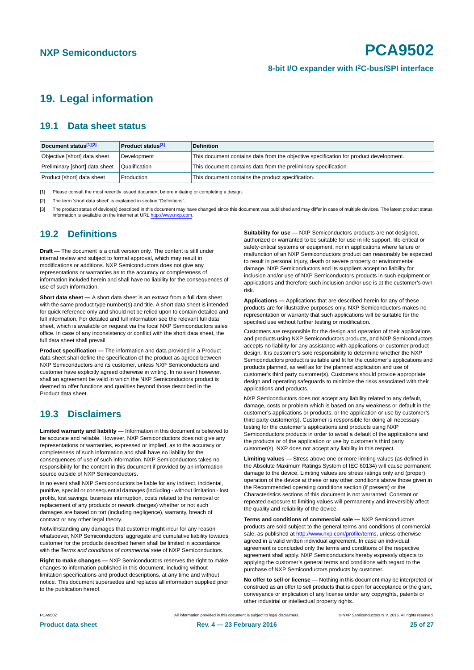# <span id="page-24-3"></span>**19. Legal information**

#### <span id="page-24-4"></span>**19.1 Data sheet status**

| Document status[1][2]          | <b>Product status</b> <sup>[3]</sup> | <b>Definition</b>                                                                     |
|--------------------------------|--------------------------------------|---------------------------------------------------------------------------------------|
| Objective [short] data sheet   | Development                          | This document contains data from the objective specification for product development. |
| Preliminary [short] data sheet | Qualification                        | This document contains data from the preliminary specification.                       |
| Product [short] data sheet     | Production                           | This document contains the product specification.                                     |

<span id="page-24-0"></span>[1] Please consult the most recently issued document before initiating or completing a design.

<span id="page-24-1"></span>[2] The term 'short data sheet' is explained in section "Definitions".

<span id="page-24-2"></span>[3] The product status of device(s) described in this document may have changed since this document was published and may differ in case of multiple devices. The latest product status<br>information is available on the Intern

#### <span id="page-24-5"></span>**19.2 Definitions**

**Draft —** The document is a draft version only. The content is still under internal review and subject to formal approval, which may result in modifications or additions. NXP Semiconductors does not give any representations or warranties as to the accuracy or completeness of information included herein and shall have no liability for the consequences of use of such information.

**Short data sheet —** A short data sheet is an extract from a full data sheet with the same product type number(s) and title. A short data sheet is intended for quick reference only and should not be relied upon to contain detailed and full information. For detailed and full information see the relevant full data sheet, which is available on request via the local NXP Semiconductors sales office. In case of any inconsistency or conflict with the short data sheet, the full data sheet shall prevail.

**Product specification —** The information and data provided in a Product data sheet shall define the specification of the product as agreed between NXP Semiconductors and its customer, unless NXP Semiconductors and customer have explicitly agreed otherwise in writing. In no event however, shall an agreement be valid in which the NXP Semiconductors product is deemed to offer functions and qualities beyond those described in the Product data sheet.

### <span id="page-24-6"></span>**19.3 Disclaimers**

**Limited warranty and liability —** Information in this document is believed to be accurate and reliable. However, NXP Semiconductors does not give any representations or warranties, expressed or implied, as to the accuracy or completeness of such information and shall have no liability for the consequences of use of such information. NXP Semiconductors takes no responsibility for the content in this document if provided by an information source outside of NXP Semiconductors.

In no event shall NXP Semiconductors be liable for any indirect, incidental, punitive, special or consequential damages (including - without limitation - lost profits, lost savings, business interruption, costs related to the removal or replacement of any products or rework charges) whether or not such damages are based on tort (including negligence), warranty, breach of contract or any other legal theory.

Notwithstanding any damages that customer might incur for any reason whatsoever, NXP Semiconductors' aggregate and cumulative liability towards customer for the products described herein shall be limited in accordance with the *Terms and conditions of commercial sale* of NXP Semiconductors.

**Right to make changes —** NXP Semiconductors reserves the right to make changes to information published in this document, including without limitation specifications and product descriptions, at any time and without notice. This document supersedes and replaces all information supplied prior to the publication hereof.

**Suitability for use —** NXP Semiconductors products are not designed, authorized or warranted to be suitable for use in life support, life-critical or safety-critical systems or equipment, nor in applications where failure or malfunction of an NXP Semiconductors product can reasonably be expected to result in personal injury, death or severe property or environmental damage. NXP Semiconductors and its suppliers accept no liability for inclusion and/or use of NXP Semiconductors products in such equipment or applications and therefore such inclusion and/or use is at the customer's own risk.

**Applications —** Applications that are described herein for any of these products are for illustrative purposes only. NXP Semiconductors makes no representation or warranty that such applications will be suitable for the specified use without further testing or modification.

Customers are responsible for the design and operation of their applications and products using NXP Semiconductors products, and NXP Semiconductors accepts no liability for any assistance with applications or customer product design. It is customer's sole responsibility to determine whether the NXP Semiconductors product is suitable and fit for the customer's applications and products planned, as well as for the planned application and use of customer's third party customer(s). Customers should provide appropriate design and operating safeguards to minimize the risks associated with their applications and products.

NXP Semiconductors does not accept any liability related to any default. damage, costs or problem which is based on any weakness or default in the customer's applications or products, or the application or use by customer's third party customer(s). Customer is responsible for doing all necessary testing for the customer's applications and products using NXP Semiconductors products in order to avoid a default of the applications and the products or of the application or use by customer's third party customer(s). NXP does not accept any liability in this respect.

**Limiting values —** Stress above one or more limiting values (as defined in the Absolute Maximum Ratings System of IEC 60134) will cause permanent damage to the device. Limiting values are stress ratings only and (proper) operation of the device at these or any other conditions above those given in the Recommended operating conditions section (if present) or the Characteristics sections of this document is not warranted. Constant or repeated exposure to limiting values will permanently and irreversibly affect the quality and reliability of the device.

**Terms and conditions of commercial sale —** NXP Semiconductors products are sold subject to the general terms and conditions of commercial sale, as published at<http://www.nxp.com/profile/terms>, unless otherwise agreed in a valid written individual agreement. In case an individual agreement is concluded only the terms and conditions of the respective agreement shall apply. NXP Semiconductors hereby expressly objects to applying the customer's general terms and conditions with regard to the purchase of NXP Semiconductors products by customer.

**No offer to sell or license —** Nothing in this document may be interpreted or construed as an offer to sell products that is open for acceptance or the grant, conveyance or implication of any license under any copyrights, patents or other industrial or intellectual property rights.

PCA9502 All information provided in this document is subject to legal disclaimers. © NXP Semiconductors N.V. 2016. All rights reserved.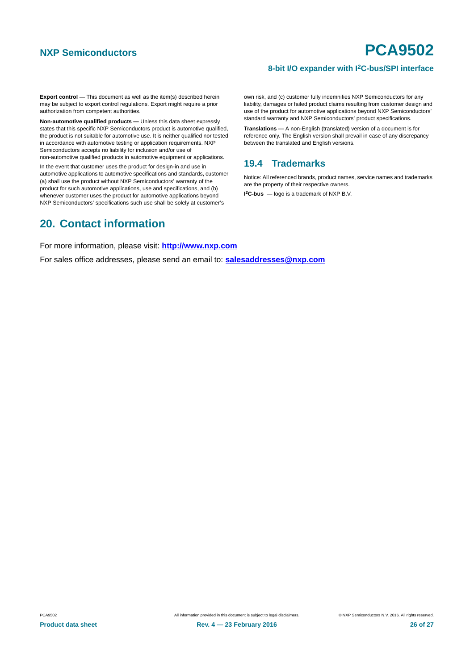**Export control —** This document as well as the item(s) described herein may be subject to export control regulations. Export might require a prior authorization from competent authorities.

**Non-automotive qualified products —** Unless this data sheet expressly states that this specific NXP Semiconductors product is automotive qualified, the product is not suitable for automotive use. It is neither qualified nor tested in accordance with automotive testing or application requirements. NXP Semiconductors accepts no liability for inclusion and/or use of non-automotive qualified products in automotive equipment or applications.

In the event that customer uses the product for design-in and use in automotive applications to automotive specifications and standards, customer (a) shall use the product without NXP Semiconductors' warranty of the product for such automotive applications, use and specifications, and (b) whenever customer uses the product for automotive applications beyond NXP Semiconductors' specifications such use shall be solely at customer's

# <span id="page-25-1"></span>**20. Contact information**

own risk, and (c) customer fully indemnifies NXP Semiconductors for any liability, damages or failed product claims resulting from customer design and use of the product for automotive applications beyond NXP Semiconductors' standard warranty and NXP Semiconductors' product specifications.

**Translations —** A non-English (translated) version of a document is for reference only. The English version shall prevail in case of any discrepancy between the translated and English versions.

### <span id="page-25-0"></span>**19.4 Trademarks**

Notice: All referenced brands, product names, service names and trademarks are the property of their respective owners.

**I 2C-bus —** logo is a trademark of NXP B.V.

For more information, please visit: **http://www.nxp.com**

For sales office addresses, please send an email to: **salesaddresses@nxp.com**